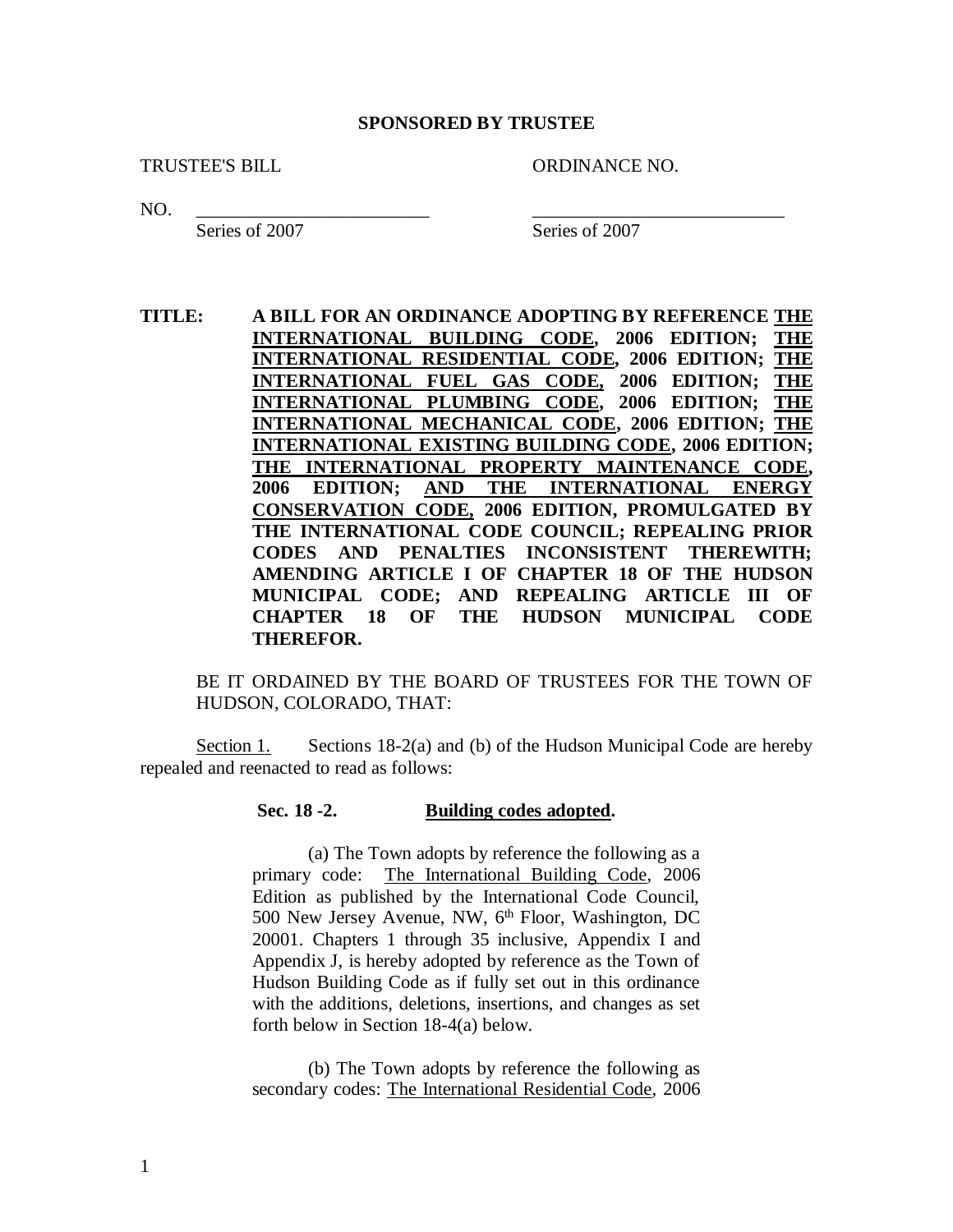## **SPONSORED BY TRUSTEE**

TRUSTEE'S BILL ORDINANCE NO.

NO. \_\_\_\_\_\_\_\_\_\_\_\_\_\_\_\_\_\_\_\_\_\_\_\_\_ \_\_\_\_\_\_\_\_\_\_\_\_\_\_\_\_\_\_\_\_\_\_\_\_\_\_\_

Series of 2007 Series of 2007

**TITLE: A BILL FOR AN ORDINANCE ADOPTING BY REFERENCE THE INTERNATIONAL BUILDING CODE, 2006 EDITION; THE INTERNATIONAL RESIDENTIAL CODE, 2006 EDITION; THE INTERNATIONAL FUEL GAS CODE, 2006 EDITION; THE INTERNATIONAL PLUMBING CODE, 2006 EDITION; THE INTERNATIONAL MECHANICAL CODE, 2006 EDITION; THE INTERNATIONAL EXISTING BUILDING CODE, 2006 EDITION; THE INTERNATIONAL PROPERTY MAINTENANCE CODE, 2006 EDITION; AND THE INTERNATIONAL ENERGY CONSERVATION CODE, 2006 EDITION, PROMULGATED BY THE INTERNATIONAL CODE COUNCIL; REPEALING PRIOR CODES AND PENALTIES INCONSISTENT THEREWITH; AMENDING ARTICLE I OF CHAPTER 18 OF THE HUDSON MUNICIPAL CODE; AND REPEALING ARTICLE III OF CHAPTER 18 OF THE HUDSON MUNICIPAL CODE THEREFOR.**

BE IT ORDAINED BY THE BOARD OF TRUSTEES FOR THE TOWN OF HUDSON, COLORADO, THAT:

Section 1. Sections  $18-2(a)$  and (b) of the Hudson Municipal Code are hereby repealed and reenacted to read as follows:

## **Sec. 18 -2. Building codes adopted.**

(a) The Town adopts by reference the following as a primary code: The International Building Code, 2006 Edition as published by the International Code Council, 500 New Jersey Avenue, NW,  $6<sup>th</sup>$  Floor, Washington, DC 20001. Chapters 1 through 35 inclusive, Appendix I and Appendix J, is hereby adopted by reference as the Town of Hudson Building Code as if fully set out in this ordinance with the additions, deletions, insertions, and changes as set forth below in Section 18-4(a) below.

(b) The Town adopts by reference the following as secondary codes: The International Residential Code, 2006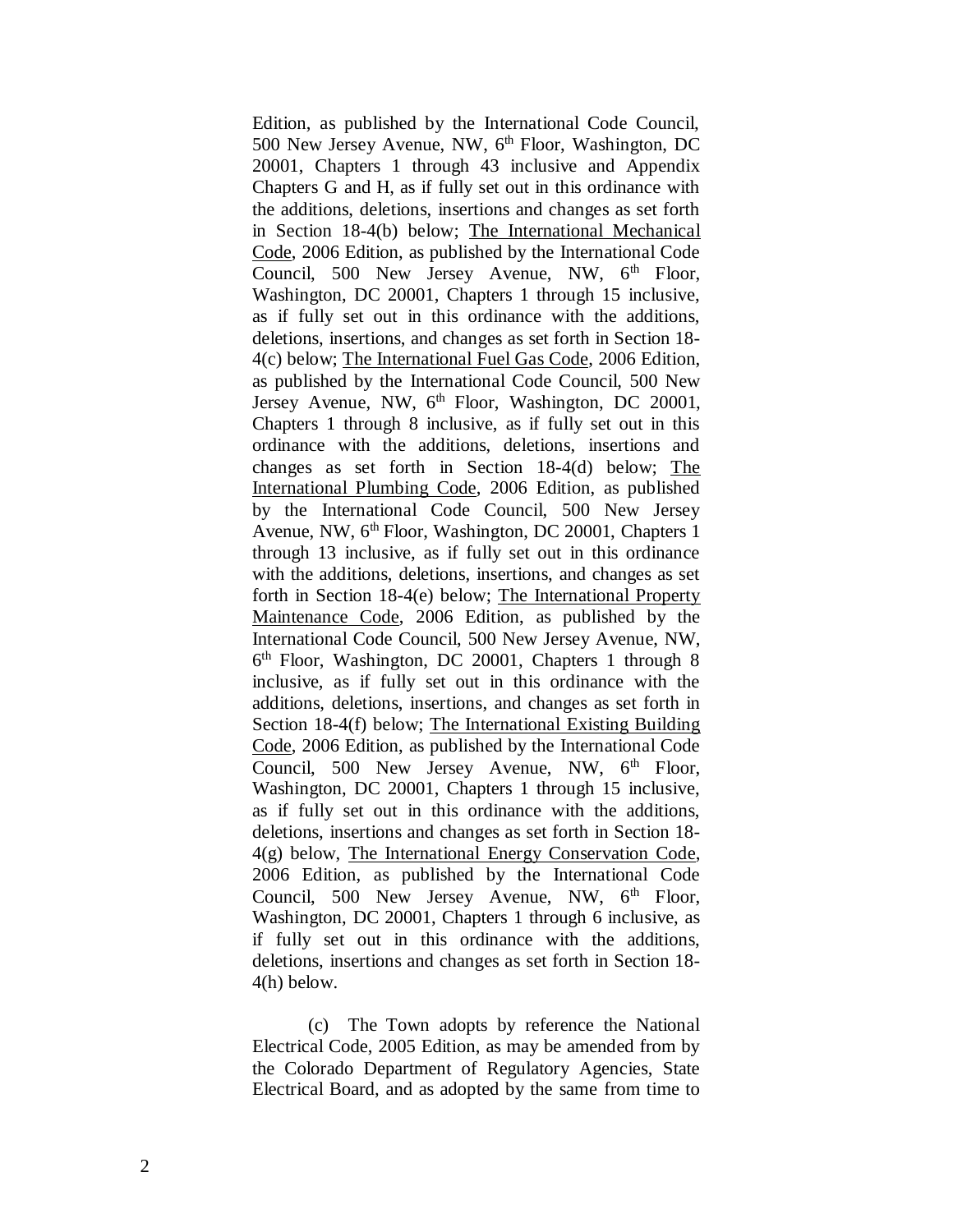Edition, as published by the International Code Council, 500 New Jersey Avenue, NW, 6<sup>th</sup> Floor, Washington, DC 20001, Chapters 1 through 43 inclusive and Appendix Chapters G and H, as if fully set out in this ordinance with the additions, deletions, insertions and changes as set forth in Section 18-4(b) below; The International Mechanical Code, 2006 Edition, as published by the International Code Council, 500 New Jersey Avenue, NW, 6<sup>th</sup> Floor, Washington, DC 20001, Chapters 1 through 15 inclusive, as if fully set out in this ordinance with the additions, deletions, insertions, and changes as set forth in Section 18- 4(c) below; The International Fuel Gas Code, 2006 Edition, as published by the International Code Council, 500 New Jersey Avenue, NW, 6<sup>th</sup> Floor, Washington, DC 20001, Chapters 1 through 8 inclusive, as if fully set out in this ordinance with the additions, deletions, insertions and changes as set forth in Section 18-4(d) below; The International Plumbing Code, 2006 Edition, as published by the International Code Council, 500 New Jersey Avenue, NW, 6<sup>th</sup> Floor, Washington, DC 20001, Chapters 1 through 13 inclusive, as if fully set out in this ordinance with the additions, deletions, insertions, and changes as set forth in Section 18-4(e) below; The International Property Maintenance Code, 2006 Edition, as published by the International Code Council, 500 New Jersey Avenue, NW, 6 th Floor, Washington, DC 20001, Chapters 1 through 8 inclusive, as if fully set out in this ordinance with the additions, deletions, insertions, and changes as set forth in Section 18-4(f) below; The International Existing Building Code, 2006 Edition, as published by the International Code Council, 500 New Jersey Avenue, NW,  $6<sup>th</sup>$  Floor, Washington, DC 20001, Chapters 1 through 15 inclusive, as if fully set out in this ordinance with the additions, deletions, insertions and changes as set forth in Section 18- 4(g) below, The International Energy Conservation Code, 2006 Edition, as published by the International Code Council, 500 New Jersey Avenue, NW, 6<sup>th</sup> Floor, Washington, DC 20001, Chapters 1 through 6 inclusive, as if fully set out in this ordinance with the additions, deletions, insertions and changes as set forth in Section 18- 4(h) below.

(c) The Town adopts by reference the National Electrical Code, 2005 Edition, as may be amended from by the Colorado Department of Regulatory Agencies, State Electrical Board, and as adopted by the same from time to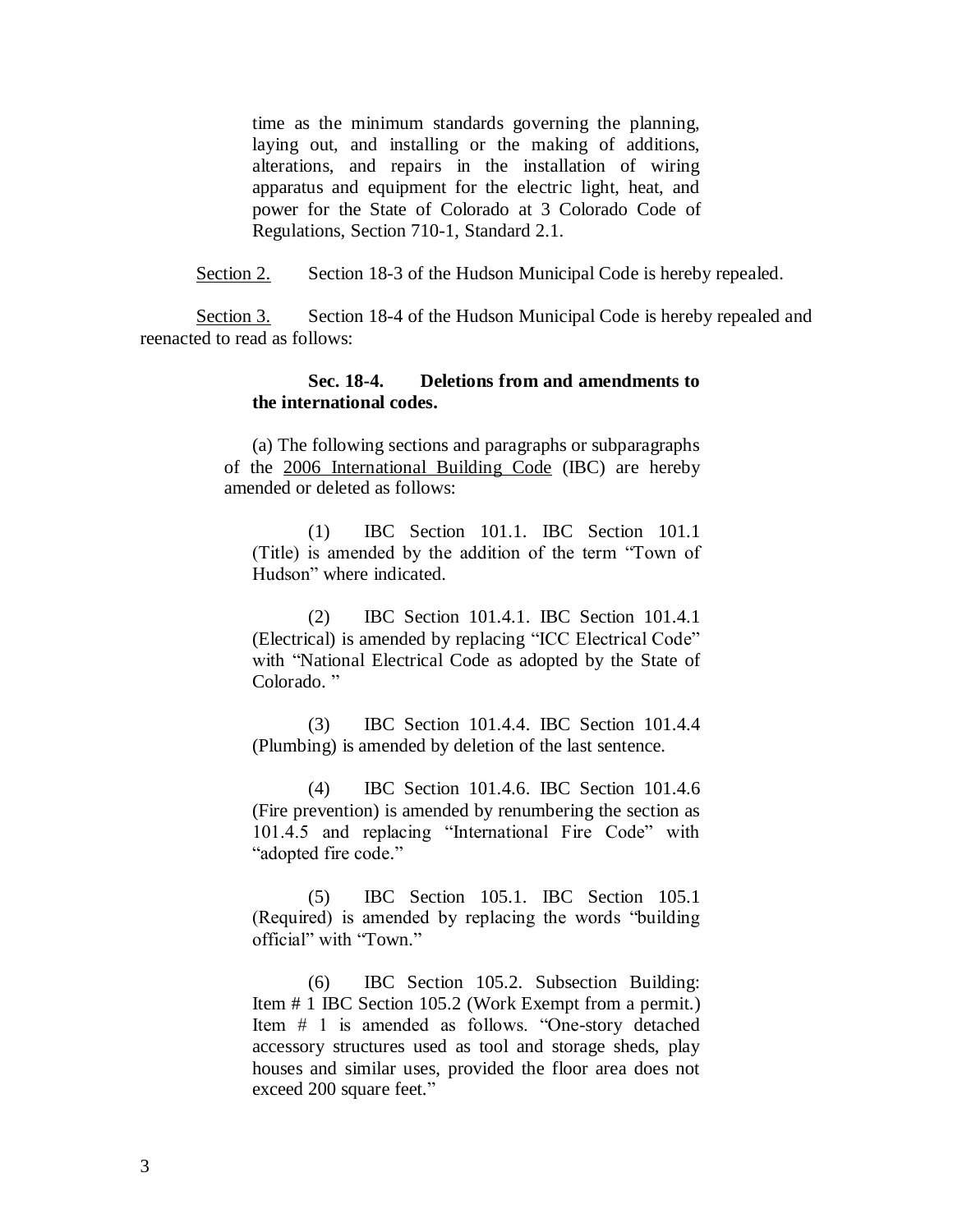time as the minimum standards governing the planning, laying out, and installing or the making of additions, alterations, and repairs in the installation of wiring apparatus and equipment for the electric light, heat, and power for the State of Colorado at 3 Colorado Code of Regulations, Section 710-1, Standard 2.1.

Section 2. Section 18-3 of the Hudson Municipal Code is hereby repealed.

Section 3. Section 18-4 of the Hudson Municipal Code is hereby repealed and reenacted to read as follows:

## **Sec. 18-4. Deletions from and amendments to the international codes.**

(a) The following sections and paragraphs or subparagraphs of the 2006 International Building Code (IBC) are hereby amended or deleted as follows:

(1) IBC Section 101.1. IBC Section 101.1 (Title) is amended by the addition of the term "Town of Hudson" where indicated.

(2) IBC Section 101.4.1. IBC Section 101.4.1 (Electrical) is amended by replacing "ICC Electrical Code" with "National Electrical Code as adopted by the State of Colorado."

(3) IBC Section 101.4.4. IBC Section 101.4.4 (Plumbing) is amended by deletion of the last sentence.

(4) IBC Section 101.4.6. IBC Section 101.4.6 (Fire prevention) is amended by renumbering the section as 101.4.5 and replacing "International Fire Code" with "adopted fire code."

(5) IBC Section 105.1. IBC Section 105.1 (Required) is amended by replacing the words "building official" with "Town."

(6) IBC Section 105.2. Subsection Building: Item # 1 IBC Section 105.2 (Work Exempt from a permit.) Item # 1 is amended as follows. "One-story detached accessory structures used as tool and storage sheds, play houses and similar uses, provided the floor area does not exceed 200 square feet."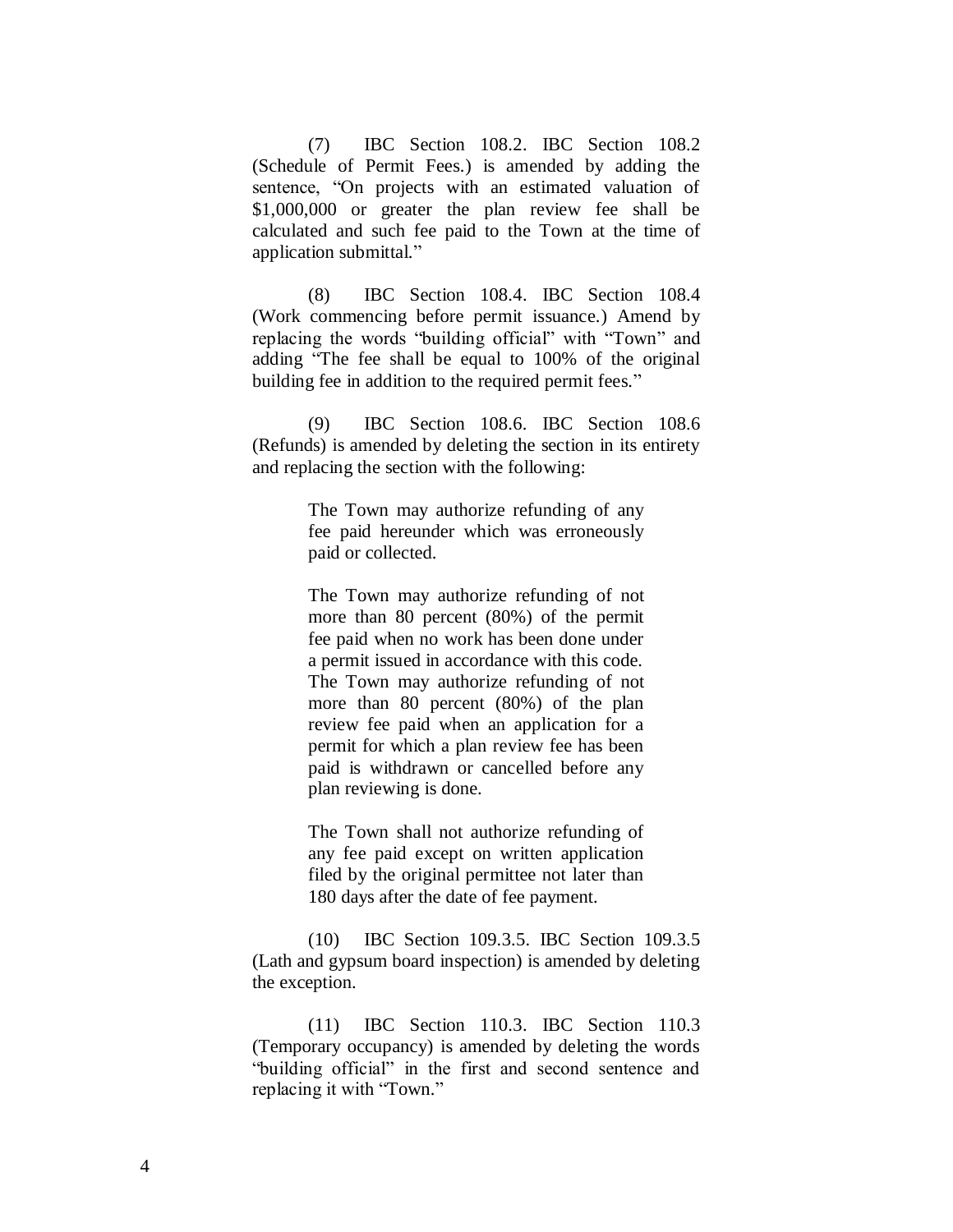(7) IBC Section 108.2. IBC Section 108.2 (Schedule of Permit Fees.) is amended by adding the sentence, "On projects with an estimated valuation of \$1,000,000 or greater the plan review fee shall be calculated and such fee paid to the Town at the time of application submittal."

(8) IBC Section 108.4. IBC Section 108.4 (Work commencing before permit issuance.) Amend by replacing the words "building official" with "Town" and adding "The fee shall be equal to 100% of the original building fee in addition to the required permit fees."

(9) IBC Section 108.6. IBC Section 108.6 (Refunds) is amended by deleting the section in its entirety and replacing the section with the following:

> The Town may authorize refunding of any fee paid hereunder which was erroneously paid or collected.

> The Town may authorize refunding of not more than 80 percent (80%) of the permit fee paid when no work has been done under a permit issued in accordance with this code. The Town may authorize refunding of not more than 80 percent (80%) of the plan review fee paid when an application for a permit for which a plan review fee has been paid is withdrawn or cancelled before any plan reviewing is done.

> The Town shall not authorize refunding of any fee paid except on written application filed by the original permittee not later than 180 days after the date of fee payment.

(10) IBC Section 109.3.5. IBC Section 109.3.5 (Lath and gypsum board inspection) is amended by deleting the exception.

(11) IBC Section 110.3. IBC Section 110.3 (Temporary occupancy) is amended by deleting the words "building official" in the first and second sentence and replacing it with "Town."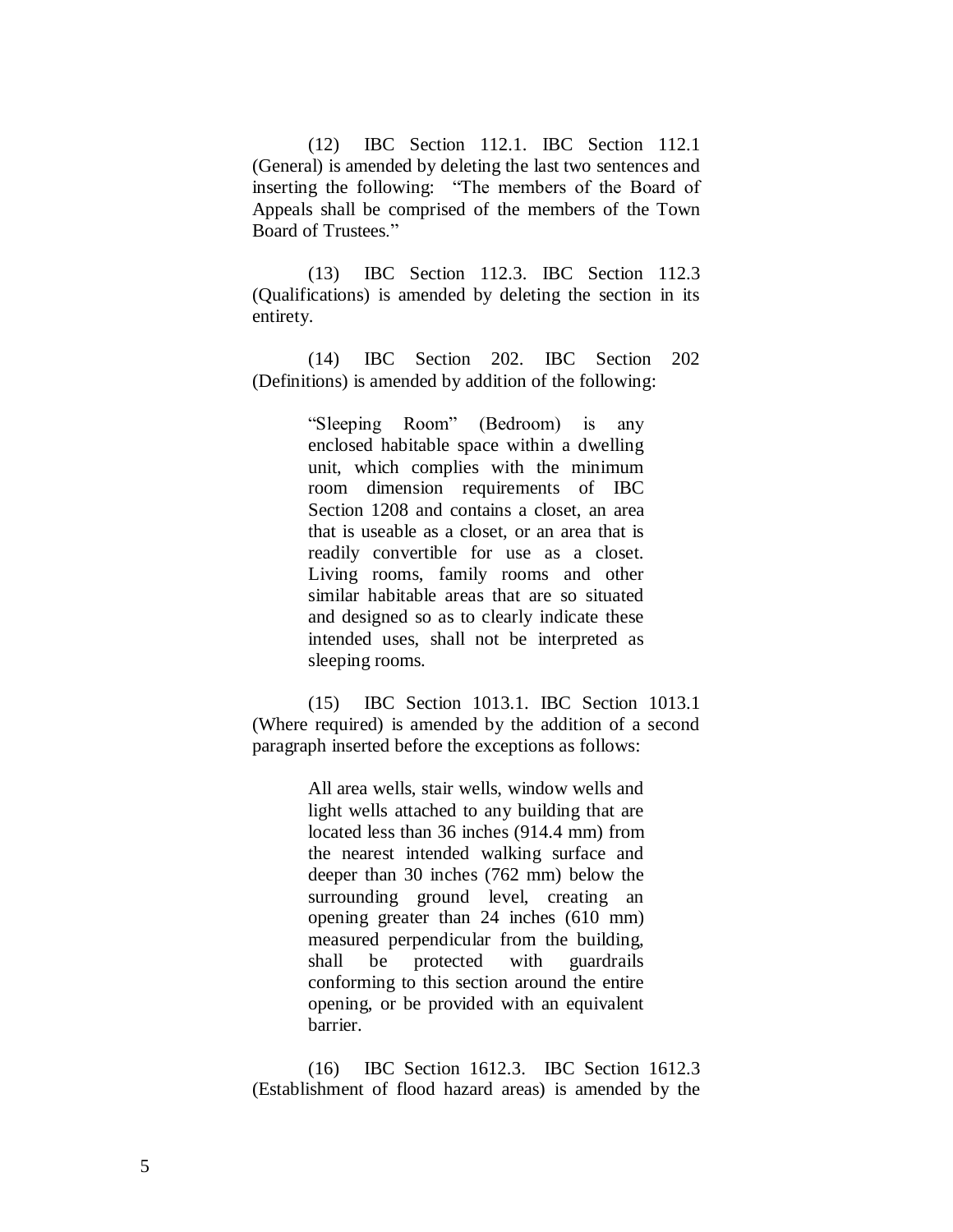(12) IBC Section 112.1. IBC Section 112.1 (General) is amended by deleting the last two sentences and inserting the following: "The members of the Board of Appeals shall be comprised of the members of the Town Board of Trustees."

(13) IBC Section 112.3. IBC Section 112.3 (Qualifications) is amended by deleting the section in its entirety.

(14) IBC Section 202. IBC Section 202 (Definitions) is amended by addition of the following:

> "Sleeping Room" (Bedroom) is any enclosed habitable space within a dwelling unit, which complies with the minimum room dimension requirements of IBC Section 1208 and contains a closet, an area that is useable as a closet, or an area that is readily convertible for use as a closet. Living rooms, family rooms and other similar habitable areas that are so situated and designed so as to clearly indicate these intended uses, shall not be interpreted as sleeping rooms.

(15) IBC Section 1013.1. IBC Section 1013.1 (Where required) is amended by the addition of a second paragraph inserted before the exceptions as follows:

> All area wells, stair wells, window wells and light wells attached to any building that are located less than 36 inches (914.4 mm) from the nearest intended walking surface and deeper than 30 inches (762 mm) below the surrounding ground level, creating an opening greater than 24 inches (610 mm) measured perpendicular from the building, shall be protected with guardrails conforming to this section around the entire opening, or be provided with an equivalent barrier.

(16) IBC Section 1612.3. IBC Section 1612.3 (Establishment of flood hazard areas) is amended by the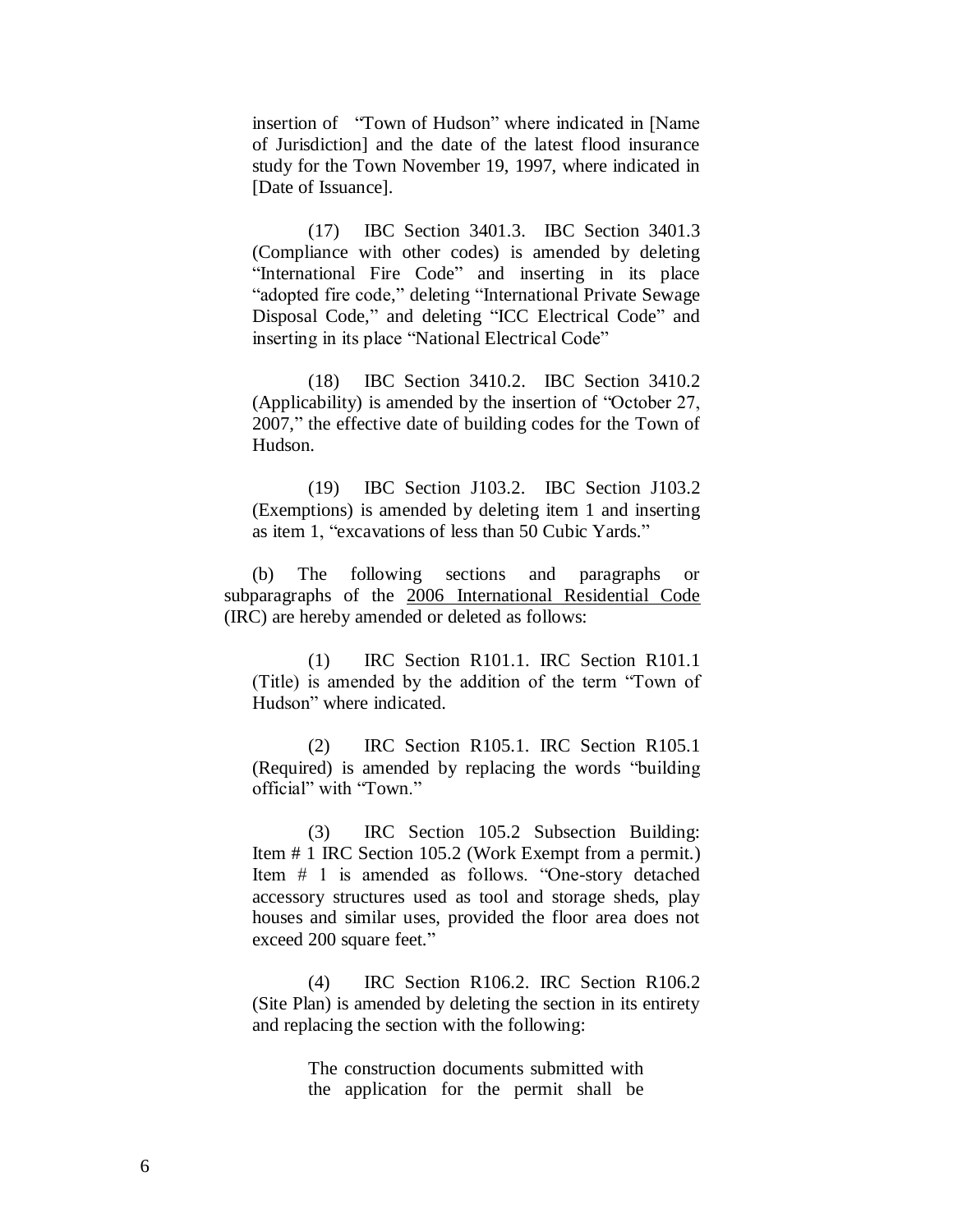insertion of "Town of Hudson" where indicated in [Name of Jurisdiction] and the date of the latest flood insurance study for the Town November 19, 1997, where indicated in [Date of Issuance].

(17) IBC Section 3401.3. IBC Section 3401.3 (Compliance with other codes) is amended by deleting "International Fire Code" and inserting in its place "adopted fire code," deleting "International Private Sewage Disposal Code," and deleting "ICC Electrical Code" and inserting in its place "National Electrical Code"

(18) IBC Section 3410.2. IBC Section 3410.2 (Applicability) is amended by the insertion of "October 27, 2007," the effective date of building codes for the Town of Hudson.

(19) IBC Section J103.2. IBC Section J103.2 (Exemptions) is amended by deleting item 1 and inserting as item 1, "excavations of less than 50 Cubic Yards."

(b) The following sections and paragraphs or subparagraphs of the 2006 International Residential Code (IRC) are hereby amended or deleted as follows:

(1) IRC Section R101.1. IRC Section R101.1 (Title) is amended by the addition of the term "Town of Hudson" where indicated.

(2) IRC Section R105.1. IRC Section R105.1 (Required) is amended by replacing the words "building official" with "Town."

(3) IRC Section 105.2 Subsection Building: Item # 1 IRC Section 105.2 (Work Exempt from a permit.) Item # 1 is amended as follows. "One-story detached accessory structures used as tool and storage sheds, play houses and similar uses, provided the floor area does not exceed 200 square feet."

(4) IRC Section R106.2. IRC Section R106.2 (Site Plan) is amended by deleting the section in its entirety and replacing the section with the following:

> The construction documents submitted with the application for the permit shall be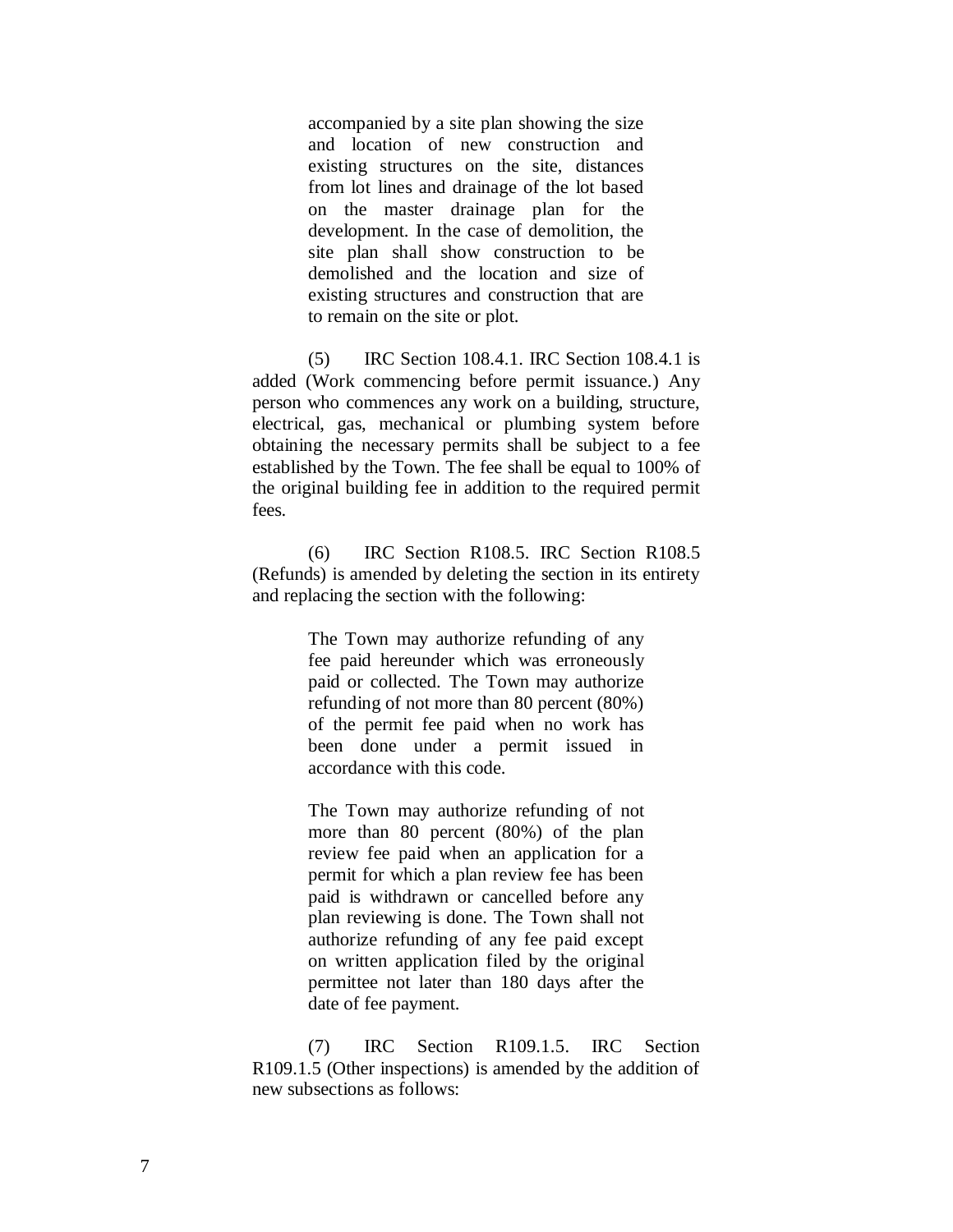accompanied by a site plan showing the size and location of new construction and existing structures on the site, distances from lot lines and drainage of the lot based on the master drainage plan for the development. In the case of demolition, the site plan shall show construction to be demolished and the location and size of existing structures and construction that are to remain on the site or plot.

(5) IRC Section 108.4.1. IRC Section 108.4.1 is added (Work commencing before permit issuance.) Any person who commences any work on a building, structure, electrical, gas, mechanical or plumbing system before obtaining the necessary permits shall be subject to a fee established by the Town. The fee shall be equal to 100% of the original building fee in addition to the required permit fees.

(6) IRC Section R108.5. IRC Section R108.5 (Refunds) is amended by deleting the section in its entirety and replacing the section with the following:

> The Town may authorize refunding of any fee paid hereunder which was erroneously paid or collected. The Town may authorize refunding of not more than 80 percent (80%) of the permit fee paid when no work has been done under a permit issued in accordance with this code.

> The Town may authorize refunding of not more than 80 percent (80%) of the plan review fee paid when an application for a permit for which a plan review fee has been paid is withdrawn or cancelled before any plan reviewing is done. The Town shall not authorize refunding of any fee paid except on written application filed by the original permittee not later than 180 days after the date of fee payment.

(7) IRC Section R109.1.5. IRC Section R109.1.5 (Other inspections) is amended by the addition of new subsections as follows: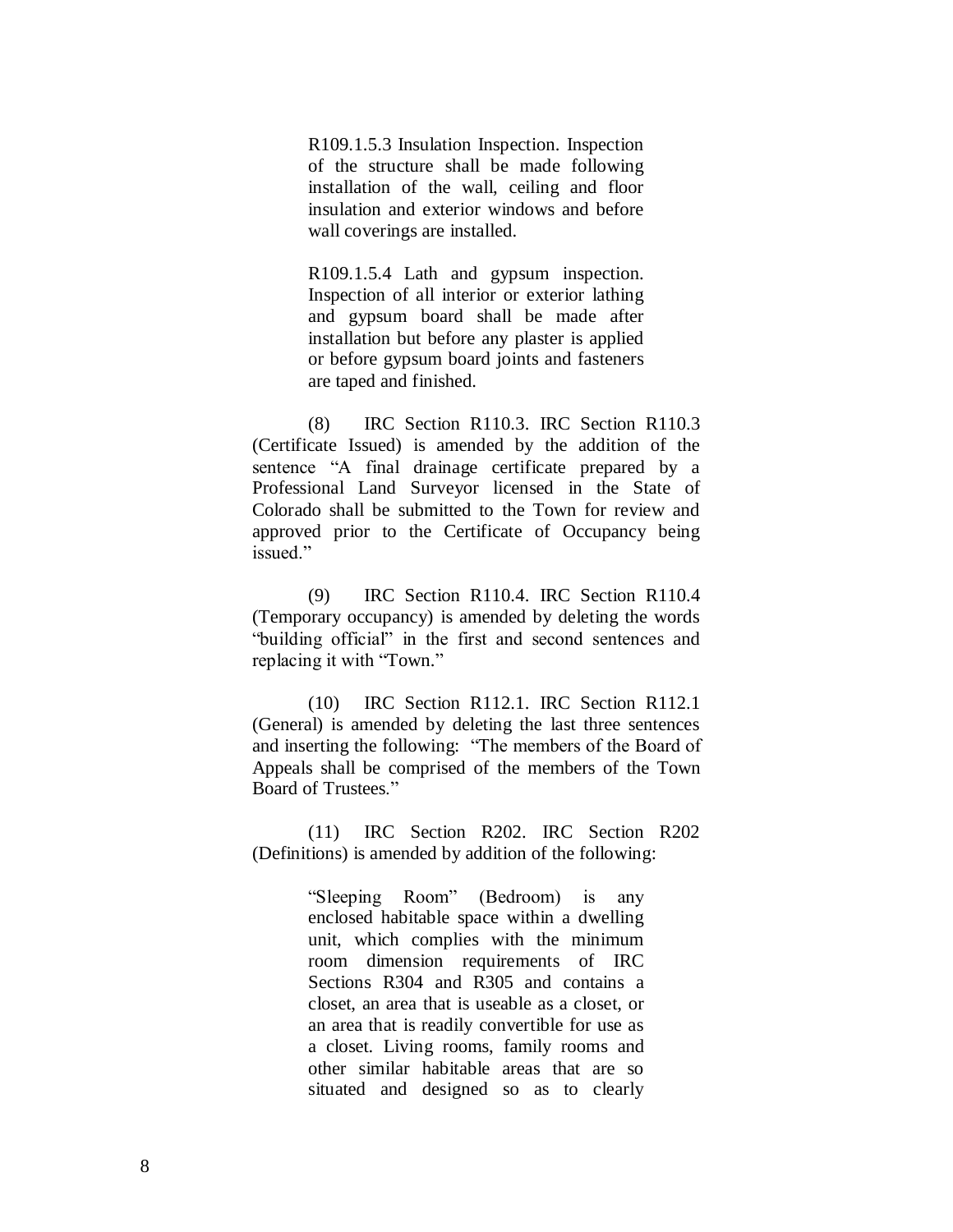R109.1.5.3 Insulation Inspection. Inspection of the structure shall be made following installation of the wall, ceiling and floor insulation and exterior windows and before wall coverings are installed.

R109.1.5.4 Lath and gypsum inspection. Inspection of all interior or exterior lathing and gypsum board shall be made after installation but before any plaster is applied or before gypsum board joints and fasteners are taped and finished.

(8) IRC Section R110.3. IRC Section R110.3 (Certificate Issued) is amended by the addition of the sentence "A final drainage certificate prepared by a Professional Land Surveyor licensed in the State of Colorado shall be submitted to the Town for review and approved prior to the Certificate of Occupancy being issued."

(9) IRC Section R110.4. IRC Section R110.4 (Temporary occupancy) is amended by deleting the words "building official" in the first and second sentences and replacing it with "Town."

(10) IRC Section R112.1. IRC Section R112.1 (General) is amended by deleting the last three sentences and inserting the following: "The members of the Board of Appeals shall be comprised of the members of the Town Board of Trustees."

(11) IRC Section R202. IRC Section R202 (Definitions) is amended by addition of the following:

> "Sleeping Room" (Bedroom) is any enclosed habitable space within a dwelling unit, which complies with the minimum room dimension requirements of IRC Sections R304 and R305 and contains a closet, an area that is useable as a closet, or an area that is readily convertible for use as a closet. Living rooms, family rooms and other similar habitable areas that are so situated and designed so as to clearly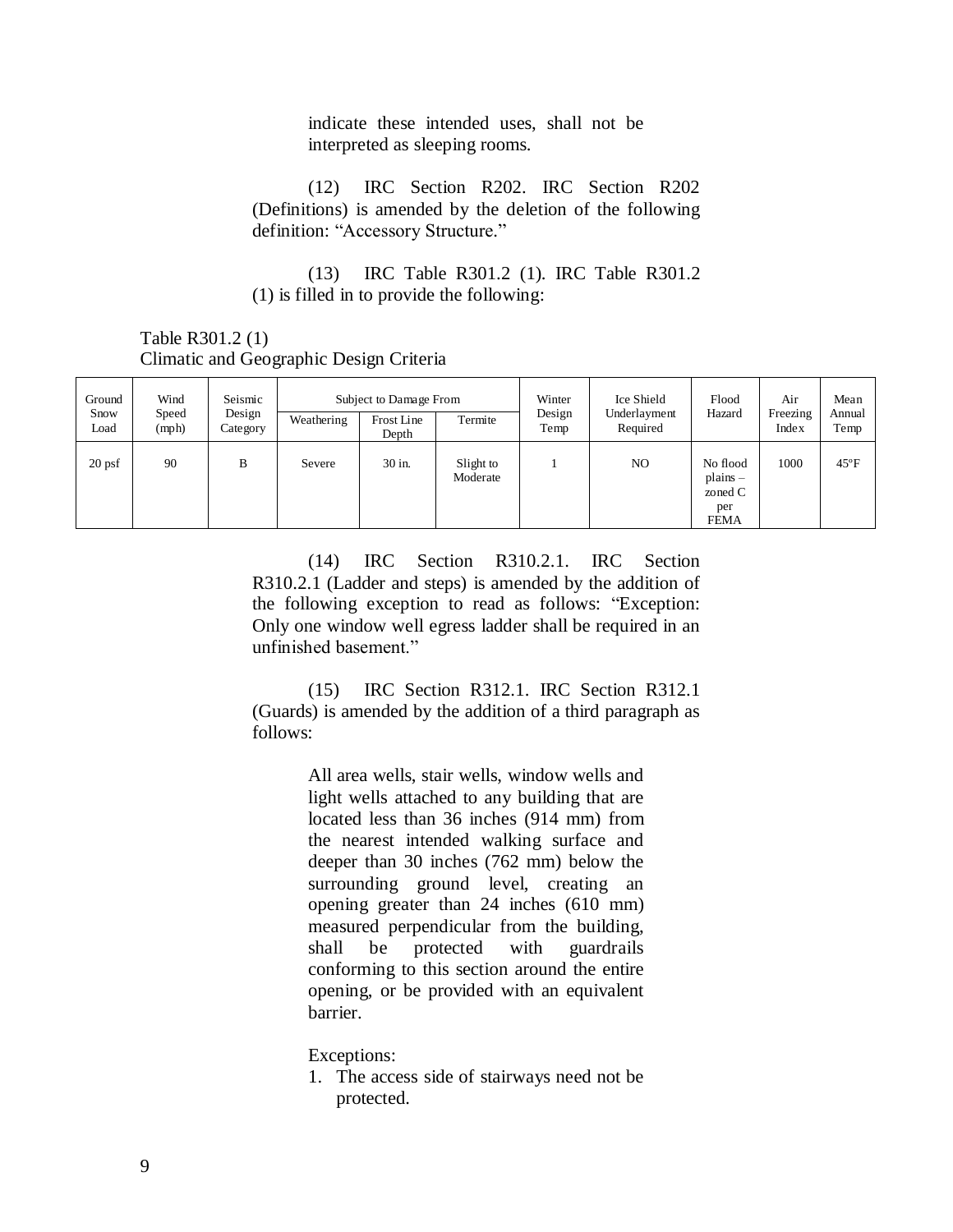indicate these intended uses, shall not be interpreted as sleeping rooms.

(12) IRC Section R202. IRC Section R202 (Definitions) is amended by the deletion of the following definition: "Accessory Structure."

(13) IRC Table R301.2 (1). IRC Table R301.2 (1) is filled in to provide the following:

Table R301.2 (1) Climatic and Geographic Design Criteria

|  | Ground       | Wind           | Seismic<br>Design<br>Category | Subject to Damage From |                     |                       | Winter         | Ice Shield               | Flood                                                   | Air               | Mean           |
|--|--------------|----------------|-------------------------------|------------------------|---------------------|-----------------------|----------------|--------------------------|---------------------------------------------------------|-------------------|----------------|
|  | Snow<br>Load | Speed<br>(mph) |                               | Weathering             | Frost Line<br>Depth | Termite               | Design<br>Temp | Underlayment<br>Required | Hazard                                                  | Freezing<br>Index | Annual<br>Temp |
|  | $20$ psf     | 90             | B                             | Severe                 | 30 in.              | Slight to<br>Moderate |                | NO                       | No flood<br>$plains -$<br>zoned C<br>per<br><b>FEMA</b> | 1000              | $45^{\circ}$ F |

(14) IRC Section R310.2.1. IRC Section R310.2.1 (Ladder and steps) is amended by the addition of the following exception to read as follows: "Exception: Only one window well egress ladder shall be required in an unfinished basement."

(15) IRC Section R312.1. IRC Section R312.1 (Guards) is amended by the addition of a third paragraph as follows:

> All area wells, stair wells, window wells and light wells attached to any building that are located less than 36 inches (914 mm) from the nearest intended walking surface and deeper than 30 inches (762 mm) below the surrounding ground level, creating an opening greater than 24 inches (610 mm) measured perpendicular from the building, shall be protected with guardrails conforming to this section around the entire opening, or be provided with an equivalent barrier.

Exceptions:

1. The access side of stairways need not be protected.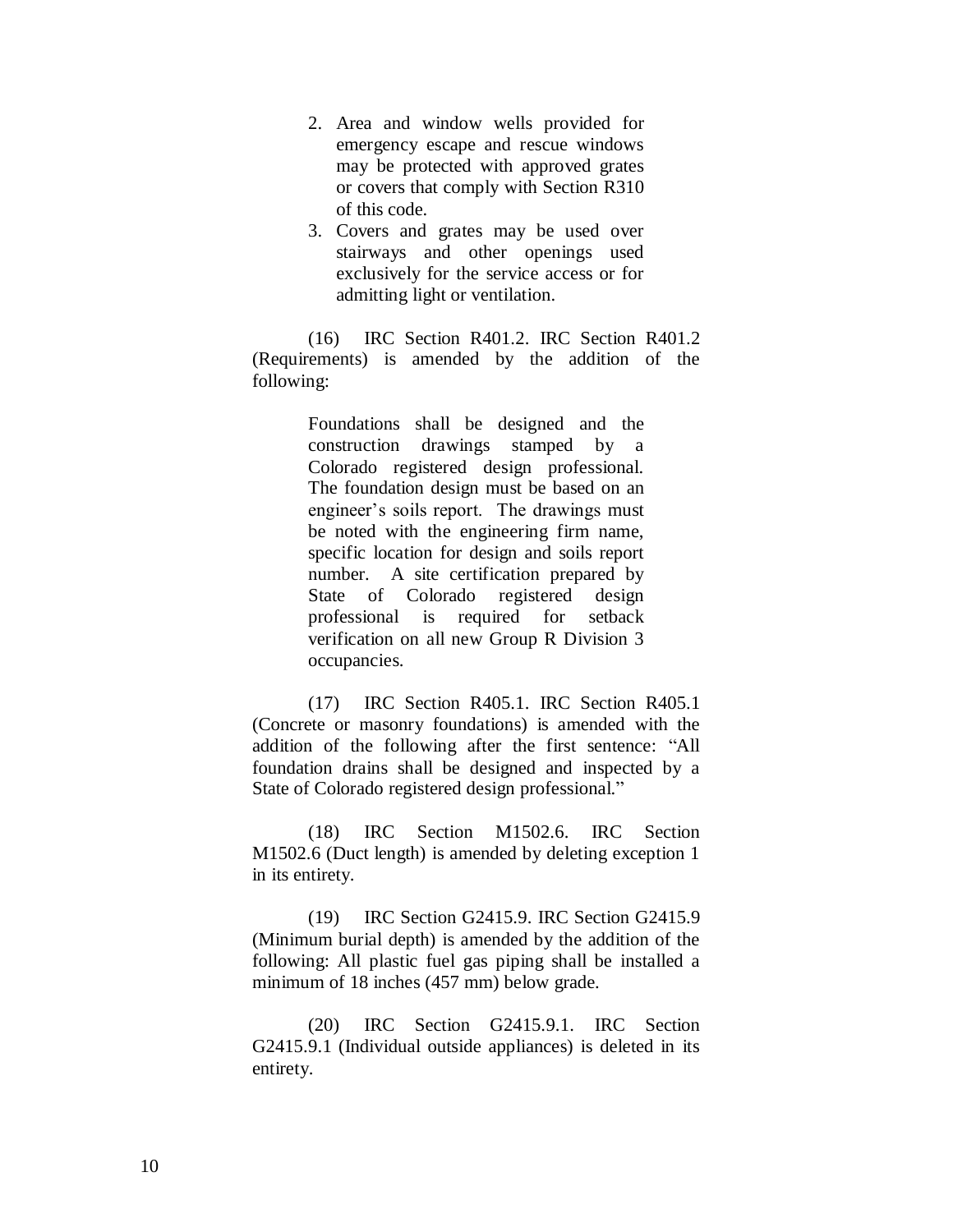- 2. Area and window wells provided for emergency escape and rescue windows may be protected with approved grates or covers that comply with Section R310 of this code.
- 3. Covers and grates may be used over stairways and other openings used exclusively for the service access or for admitting light or ventilation.

(16) IRC Section R401.2. IRC Section R401.2 (Requirements) is amended by the addition of the following:

> Foundations shall be designed and the construction drawings stamped by a Colorado registered design professional. The foundation design must be based on an engineer's soils report. The drawings must be noted with the engineering firm name, specific location for design and soils report number. A site certification prepared by State of Colorado registered design professional is required for setback verification on all new Group R Division 3 occupancies.

(17) IRC Section R405.1. IRC Section R405.1 (Concrete or masonry foundations) is amended with the addition of the following after the first sentence: "All foundation drains shall be designed and inspected by a State of Colorado registered design professional."

(18) IRC Section M1502.6. IRC Section M1502.6 (Duct length) is amended by deleting exception 1 in its entirety.

(19) IRC Section G2415.9. IRC Section G2415.9 (Minimum burial depth) is amended by the addition of the following: All plastic fuel gas piping shall be installed a minimum of 18 inches (457 mm) below grade.

(20) IRC Section G2415.9.1. IRC Section G2415.9.1 (Individual outside appliances) is deleted in its entirety.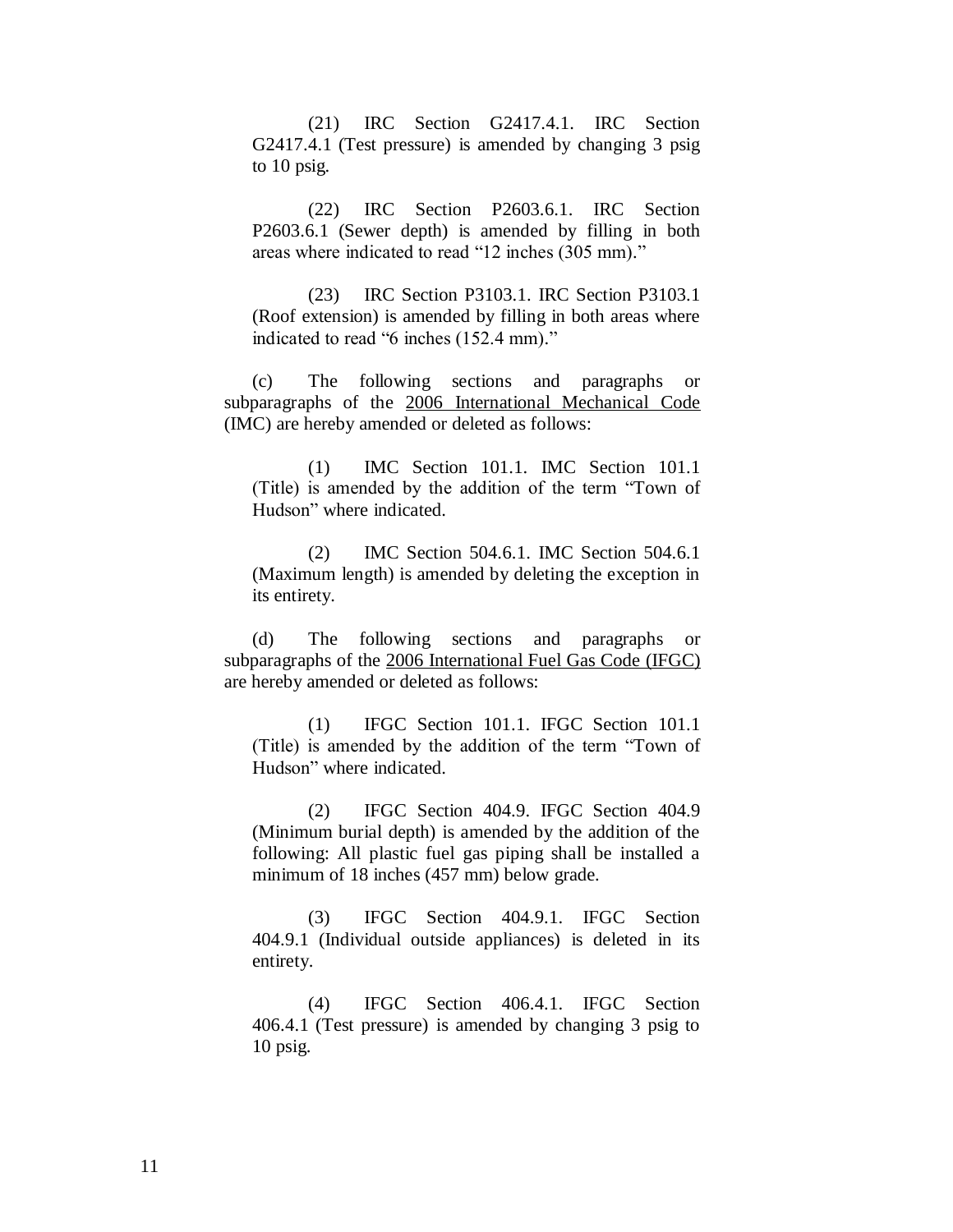(21) IRC Section G2417.4.1. IRC Section G2417.4.1 (Test pressure) is amended by changing 3 psig to 10 psig.

(22) IRC Section P2603.6.1. IRC Section P2603.6.1 (Sewer depth) is amended by filling in both areas where indicated to read "12 inches (305 mm)."

(23) IRC Section P3103.1. IRC Section P3103.1 (Roof extension) is amended by filling in both areas where indicated to read "6 inches (152.4 mm)."

(c) The following sections and paragraphs or subparagraphs of the 2006 International Mechanical Code (IMC) are hereby amended or deleted as follows:

(1) IMC Section 101.1. IMC Section 101.1 (Title) is amended by the addition of the term "Town of Hudson" where indicated.

(2) IMC Section 504.6.1. IMC Section 504.6.1 (Maximum length) is amended by deleting the exception in its entirety.

(d) The following sections and paragraphs or subparagraphs of the 2006 International Fuel Gas Code (IFGC) are hereby amended or deleted as follows:

(1) IFGC Section 101.1. IFGC Section 101.1 (Title) is amended by the addition of the term "Town of Hudson" where indicated.

(2) IFGC Section 404.9. IFGC Section 404.9 (Minimum burial depth) is amended by the addition of the following: All plastic fuel gas piping shall be installed a minimum of 18 inches (457 mm) below grade.

(3) IFGC Section 404.9.1. IFGC Section 404.9.1 (Individual outside appliances) is deleted in its entirety.

(4) IFGC Section 406.4.1. IFGC Section 406.4.1 (Test pressure) is amended by changing 3 psig to 10 psig.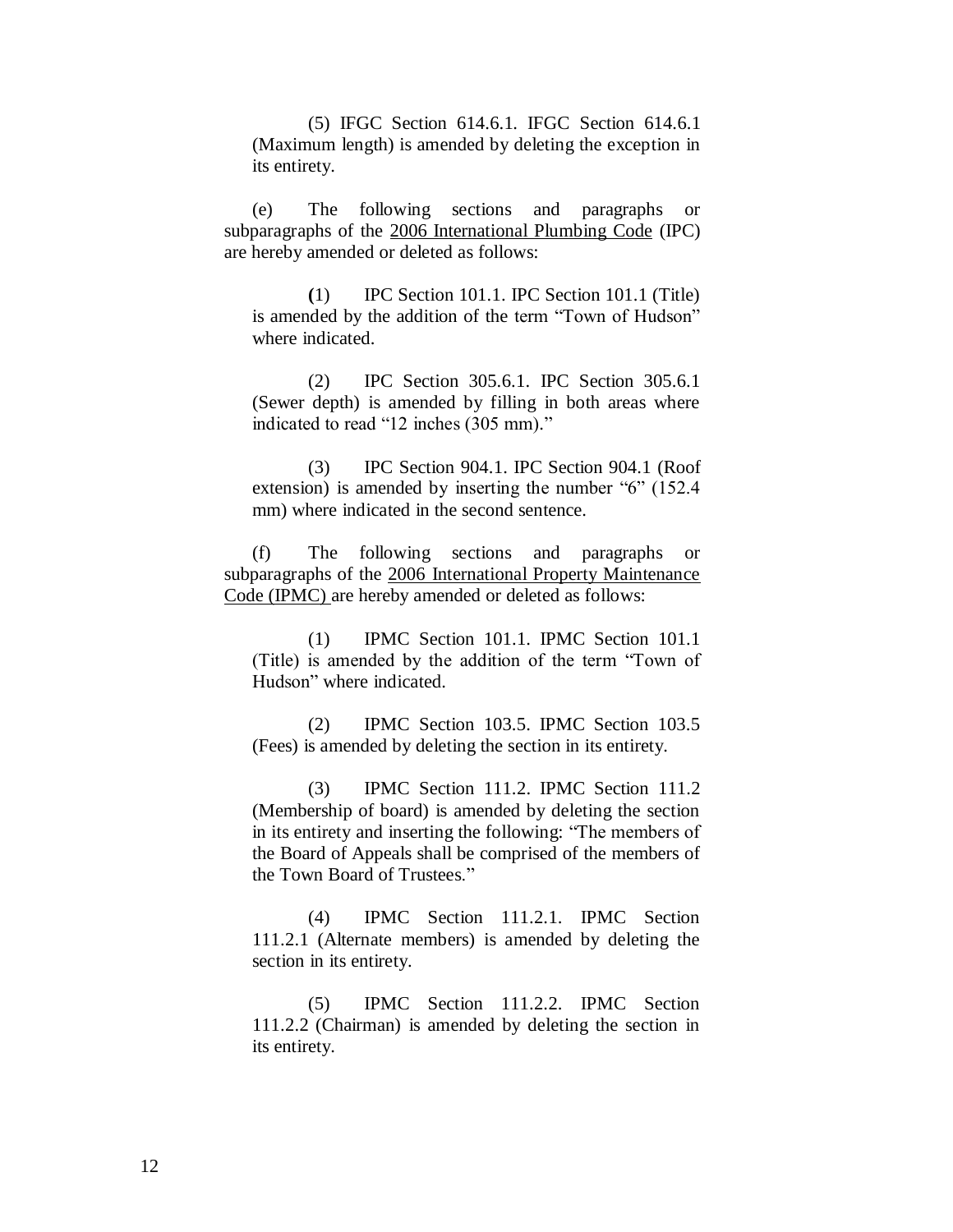(5) IFGC Section 614.6.1. IFGC Section 614.6.1 (Maximum length) is amended by deleting the exception in its entirety.

(e) The following sections and paragraphs or subparagraphs of the 2006 International Plumbing Code (IPC) are hereby amended or deleted as follows:

**(**1) IPC Section 101.1. IPC Section 101.1 (Title) is amended by the addition of the term "Town of Hudson" where indicated.

(2) IPC Section 305.6.1. IPC Section 305.6.1 (Sewer depth) is amended by filling in both areas where indicated to read "12 inches (305 mm)."

(3) IPC Section 904.1. IPC Section 904.1 (Roof extension) is amended by inserting the number "6" (152.4 mm) where indicated in the second sentence.

(f) The following sections and paragraphs or subparagraphs of the 2006 International Property Maintenance Code (IPMC) are hereby amended or deleted as follows:

(1) IPMC Section 101.1. IPMC Section 101.1 (Title) is amended by the addition of the term "Town of Hudson" where indicated.

(2) IPMC Section 103.5. IPMC Section 103.5 (Fees) is amended by deleting the section in its entirety.

(3) IPMC Section 111.2. IPMC Section 111.2 (Membership of board) is amended by deleting the section in its entirety and inserting the following: "The members of the Board of Appeals shall be comprised of the members of the Town Board of Trustees."

(4) IPMC Section 111.2.1. IPMC Section 111.2.1 (Alternate members) is amended by deleting the section in its entirety.

(5) IPMC Section 111.2.2. IPMC Section 111.2.2 (Chairman) is amended by deleting the section in its entirety.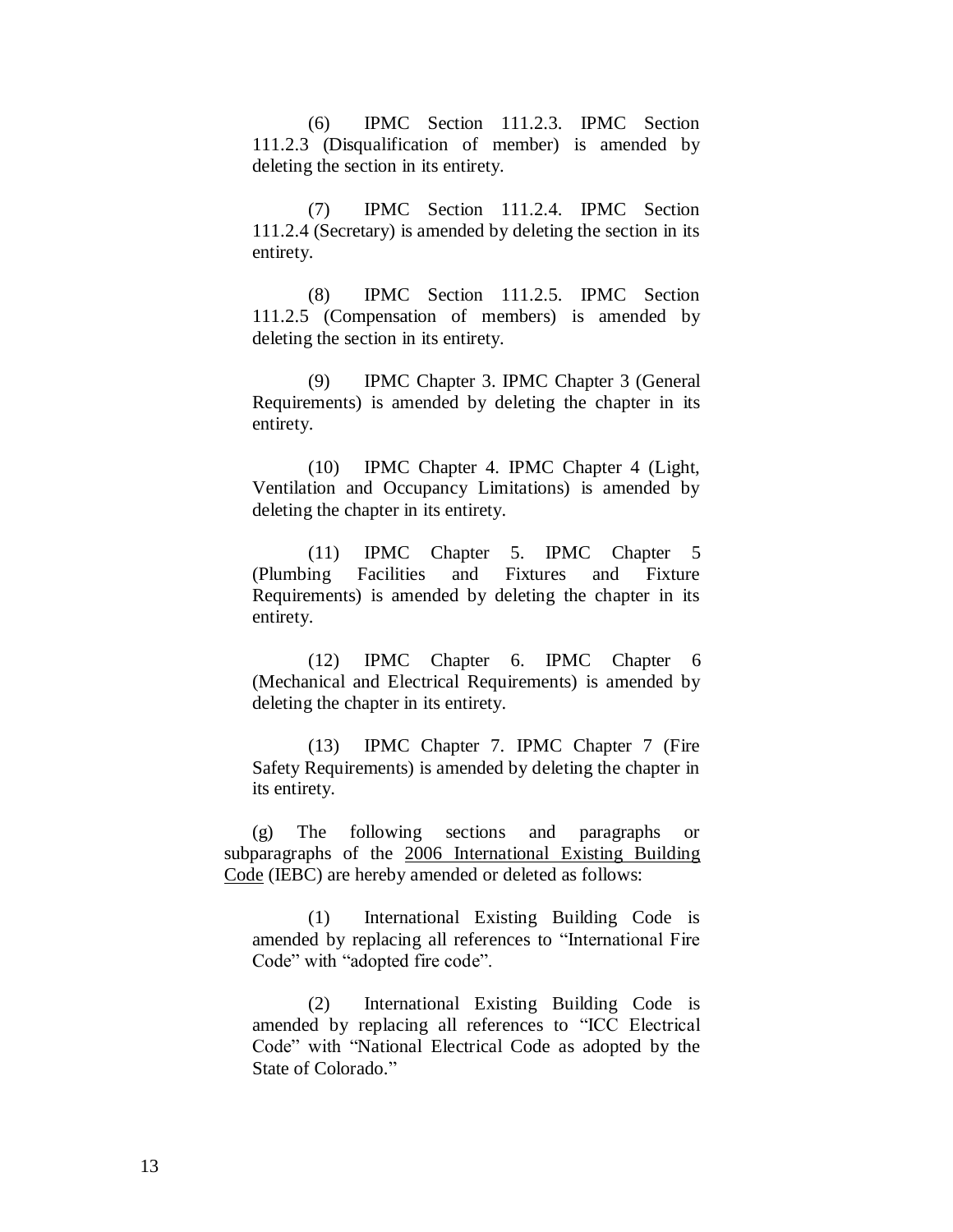(6) IPMC Section 111.2.3. IPMC Section 111.2.3 (Disqualification of member) is amended by deleting the section in its entirety.

(7) IPMC Section 111.2.4. IPMC Section 111.2.4 (Secretary) is amended by deleting the section in its entirety.

(8) IPMC Section 111.2.5. IPMC Section 111.2.5 (Compensation of members) is amended by deleting the section in its entirety.

(9) IPMC Chapter 3. IPMC Chapter 3 (General Requirements) is amended by deleting the chapter in its entirety.

(10) IPMC Chapter 4. IPMC Chapter 4 (Light, Ventilation and Occupancy Limitations) is amended by deleting the chapter in its entirety.

(11) IPMC Chapter 5. IPMC Chapter 5 (Plumbing Facilities and Fixtures and Fixture Requirements) is amended by deleting the chapter in its entirety.

(12) IPMC Chapter 6. IPMC Chapter 6 (Mechanical and Electrical Requirements) is amended by deleting the chapter in its entirety.

(13) IPMC Chapter 7. IPMC Chapter 7 (Fire Safety Requirements) is amended by deleting the chapter in its entirety.

(g) The following sections and paragraphs or subparagraphs of the 2006 International Existing Building Code (IEBC) are hereby amended or deleted as follows:

(1) International Existing Building Code is amended by replacing all references to "International Fire Code" with "adopted fire code".

(2) International Existing Building Code is amended by replacing all references to "ICC Electrical Code" with "National Electrical Code as adopted by the State of Colorado."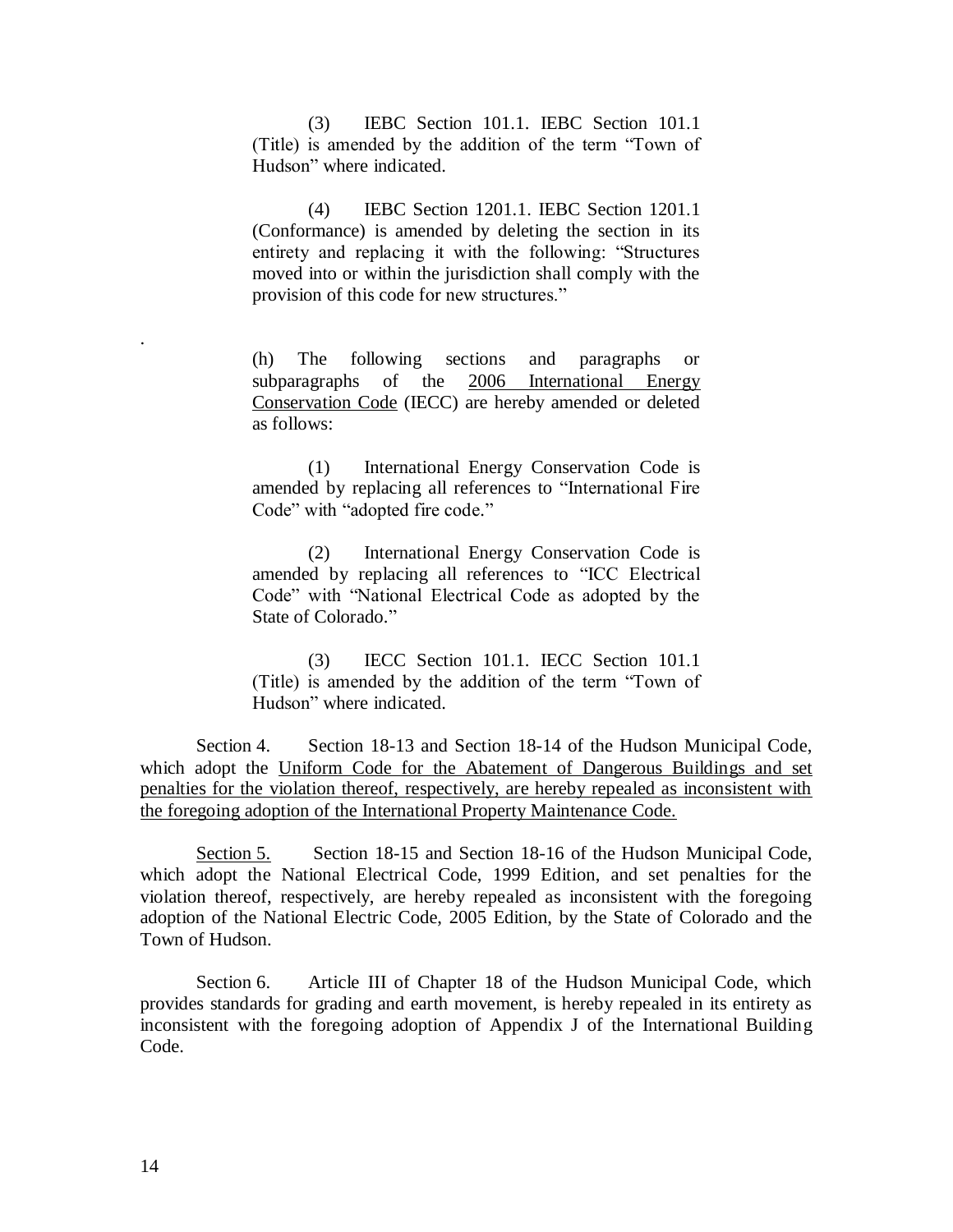(3) IEBC Section 101.1. IEBC Section 101.1 (Title) is amended by the addition of the term "Town of Hudson" where indicated.

(4) IEBC Section 1201.1. IEBC Section 1201.1 (Conformance) is amended by deleting the section in its entirety and replacing it with the following: "Structures moved into or within the jurisdiction shall comply with the provision of this code for new structures."

(h) The following sections and paragraphs or subparagraphs of the 2006 International Energy Conservation Code (IECC) are hereby amended or deleted as follows:

(1) International Energy Conservation Code is amended by replacing all references to "International Fire Code" with "adopted fire code."

(2) International Energy Conservation Code is amended by replacing all references to "ICC Electrical Code" with "National Electrical Code as adopted by the State of Colorado."

(3) IECC Section 101.1. IECC Section 101.1 (Title) is amended by the addition of the term "Town of Hudson" where indicated.

Section 4. Section 18-13 and Section 18-14 of the Hudson Municipal Code, which adopt the Uniform Code for the Abatement of Dangerous Buildings and set penalties for the violation thereof, respectively, are hereby repealed as inconsistent with the foregoing adoption of the International Property Maintenance Code.

Section 5. Section 18-15 and Section 18-16 of the Hudson Municipal Code, which adopt the National Electrical Code, 1999 Edition, and set penalties for the violation thereof, respectively, are hereby repealed as inconsistent with the foregoing adoption of the National Electric Code, 2005 Edition, by the State of Colorado and the Town of Hudson.

Section 6. Article III of Chapter 18 of the Hudson Municipal Code, which provides standards for grading and earth movement, is hereby repealed in its entirety as inconsistent with the foregoing adoption of Appendix J of the International Building Code.

.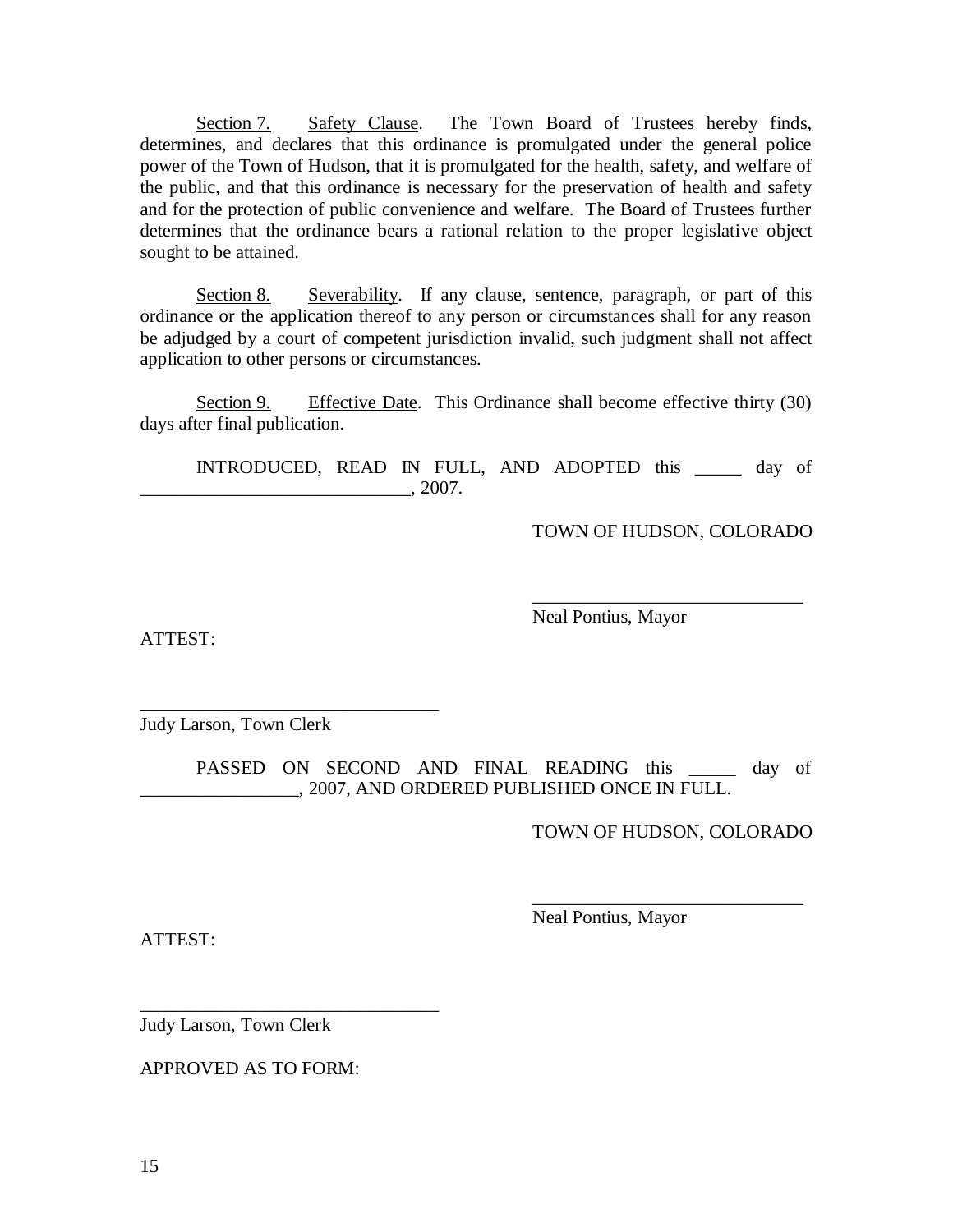Section 7. Safety Clause. The Town Board of Trustees hereby finds, determines, and declares that this ordinance is promulgated under the general police power of the Town of Hudson, that it is promulgated for the health, safety, and welfare of the public, and that this ordinance is necessary for the preservation of health and safety and for the protection of public convenience and welfare. The Board of Trustees further determines that the ordinance bears a rational relation to the proper legislative object sought to be attained.

Section 8. Severability. If any clause, sentence, paragraph, or part of this ordinance or the application thereof to any person or circumstances shall for any reason be adjudged by a court of competent jurisdiction invalid, such judgment shall not affect application to other persons or circumstances.

Section 9. Effective Date. This Ordinance shall become effective thirty (30) days after final publication.

INTRODUCED, READ IN FULL, AND ADOPTED this \_\_\_\_\_ day of  $\frac{1}{2007}$ .

TOWN OF HUDSON, COLORADO

\_\_\_\_\_\_\_\_\_\_\_\_\_\_\_\_\_\_\_\_\_\_\_\_\_\_\_\_\_

ATTEST:

Neal Pontius, Mayor

Judy Larson, Town Clerk

\_\_\_\_\_\_\_\_\_\_\_\_\_\_\_\_\_\_\_\_\_\_\_\_\_\_\_\_\_\_\_\_

PASSED ON SECOND AND FINAL READING this \_\_\_\_\_\_ day of \_\_\_\_\_\_\_\_\_\_\_\_\_\_\_\_\_, 2007, AND ORDERED PUBLISHED ONCE IN FULL.

TOWN OF HUDSON, COLORADO

\_\_\_\_\_\_\_\_\_\_\_\_\_\_\_\_\_\_\_\_\_\_\_\_\_\_\_\_\_

ATTEST:

Neal Pontius, Mayor

Judy Larson, Town Clerk

APPROVED AS TO FORM:

\_\_\_\_\_\_\_\_\_\_\_\_\_\_\_\_\_\_\_\_\_\_\_\_\_\_\_\_\_\_\_\_